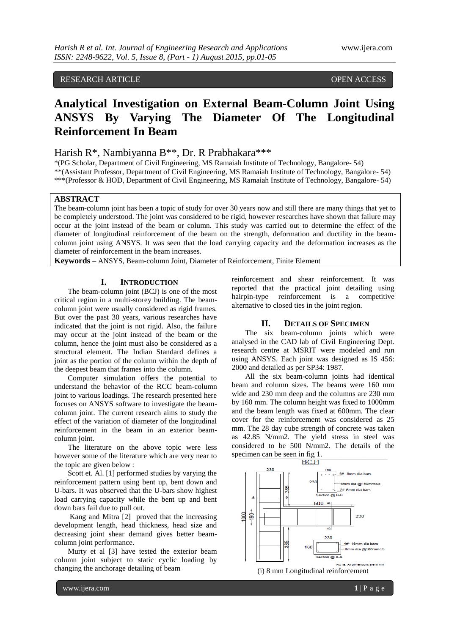# RESEARCH ARTICLE OPEN ACCESS

# **Analytical Investigation on External Beam-Column Joint Using ANSYS By Varying The Diameter Of The Longitudinal Reinforcement In Beam**

## Harish R\*, Nambiyanna B\*\*, Dr. R Prabhakara\*\*\*

\*(PG Scholar, Department of Civil Engineering, MS Ramaiah Institute of Technology, Bangalore- 54) \*\*(Assistant Professor, Department of Civil Engineering, MS Ramaiah Institute of Technology, Bangalore- 54) \*\*\*(Professor & HOD, Department of Civil Engineering, MS Ramaiah Institute of Technology, Bangalore- 54)

## **ABSTRACT**

The beam-column joint has been a topic of study for over 30 years now and still there are many things that yet to be completely understood. The joint was considered to be rigid, however researches have shown that failure may occur at the joint instead of the beam or column. This study was carried out to determine the effect of the diameter of longitudinal reinforcement of the beam on the strength, deformation and ductility in the beamcolumn joint using ANSYS. It was seen that the load carrying capacity and the deformation increases as the diameter of reinforcement in the beam increases.

**Keywords –** ANSYS, Beam-column Joint, Diameter of Reinforcement, Finite Element

#### **I. INTRODUCTION**

The beam-column joint (BCJ) is one of the most critical region in a multi-storey building. The beamcolumn joint were usually considered as rigid frames. But over the past 30 years, various researches have indicated that the joint is not rigid. Also, the failure may occur at the joint instead of the beam or the column, hence the joint must also be considered as a structural element. The Indian Standard defines a joint as the portion of the column within the depth of the deepest beam that frames into the column.

Computer simulation offers the potential to understand the behavior of the RCC beam-column joint to various loadings. The research presented here focuses on ANSYS software to investigate the beamcolumn joint. The current research aims to study the effect of the variation of diameter of the longitudinal reinforcement in the beam in an exterior beamcolumn joint.

The literature on the above topic were less however some of the literature which are very near to the topic are given below :

Scott et. Al. [1] performed studies by varying the reinforcement pattern using bent up, bent down and U-bars. It was observed that the U-bars show highest load carrying capacity while the bent up and bent down bars fail due to pull out.

Kang and Mitra [2] proved that the increasing development length, head thickness, head size and decreasing joint shear demand gives better beamcolumn joint performance.

Murty et al [3] have tested the exterior beam column joint subject to static cyclic loading by changing the anchorage detailing of beam

reinforcement and shear reinforcement. It was reported that the practical joint detailing using hairpin-type reinforcement is a competitive alternative to closed ties in the joint region.

## **II. DETAILS OF SPECIMEN**

The six beam-column joints which were analysed in the CAD lab of Civil Engineering Dept. research centre at MSRIT were modeled and run using ANSYS. Each joint was designed as IS 456: 2000 and detailed as per SP34: 1987.

All the six beam-column joints had identical beam and column sizes. The beams were 160 mm wide and 230 mm deep and the columns are 230 mm by 160 mm. The column height was fixed to 1000mm and the beam length was fixed at 600mm. The clear cover for the reinforcement was considered as 25 mm. The 28 day cube strength of concrete was taken as 42.85 N/mm2. The yield stress in steel was considered to be 500 N/mm2. The details of the specimen can be seen in fig 1.

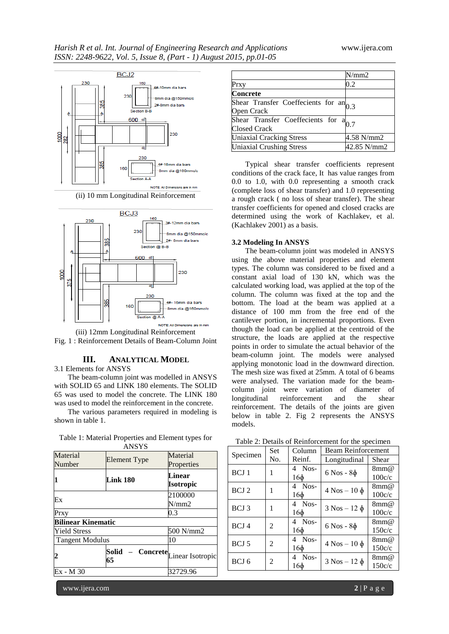

(ii) 10 mm Longitudinal Reinforcement





## **III. ANALYTICAL MODEL**

3.1 Elements for ANSYS

The beam-column joint was modelled in ANSYS with SOLID 65 and LINK 180 elements. The SOLID 65 was used to model the concrete. The LINK 180 was used to model the reinforcement in the concrete.

The various parameters required in modeling is shown in table 1.

| Table 1: Material Properties and Element types for |                     |          |  |
|----------------------------------------------------|---------------------|----------|--|
|                                                    | <b>ANSYS</b>        |          |  |
| Material                                           | <b>Element Type</b> | Material |  |

| Material<br>Number        | Element Type                                          | Material<br>Properties     |  |
|---------------------------|-------------------------------------------------------|----------------------------|--|
| 1                         | Link 180                                              | Linear<br><b>Isotropic</b> |  |
| Ex                        |                                                       | 2100000<br>N/mm2           |  |
| Prxy                      |                                                       | 0.3                        |  |
| <b>Bilinear Kinematic</b> |                                                       |                            |  |
| <b>Yield Stress</b>       |                                                       | 500 N/mm2                  |  |
| Tangent Modulus           |                                                       | 10                         |  |
| $\overline{2}$            | <b>Solid</b> – <b>Concrete</b> Linear Isotropic<br>65 |                            |  |
| Ex - M 30                 |                                                       | 32729.96                   |  |

|                                                          | N/mm2       |
|----------------------------------------------------------|-------------|
| Prxy                                                     | 0.2         |
| <b>Concrete</b>                                          |             |
| Shear Transfer Coeffecients for $an0.3$<br>Open Crack    |             |
| Shear Transfer Coeffecients for a<br><b>Closed Crack</b> |             |
| <b>Uniaxial Cracking Stress</b>                          | 4.58 N/mm2  |
| <b>Uniaxial Crushing Stress</b>                          | 42.85 N/mm2 |

Typical shear transfer coefficients represent conditions of the crack face, It has value ranges from 0.0 to 1.0, with 0.0 representing a smooth crack (complete loss of shear transfer) and 1.0 representing a rough crack ( no loss of shear transfer). The shear transfer coefficients for opened and closed cracks are determined using the work of Kachlakev, et al. (Kachlakev 2001) as a basis.

## **3.2 Modeling In ANSYS**

The beam-column joint was modeled in ANSYS using the above material properties and element types. The column was considered to be fixed and a constant axial load of 130 kN, which was the calculated working load, was applied at the top of the column. The column was fixed at the top and the bottom. The load at the beam was applied at a distance of 100 mm from the free end of the cantilever portion, in incremental proportions. Even though the load can be applied at the centroid of the structure, the loads are applied at the respective points in order to simulate the actual behavior of the beam-column joint. The models were analysed applying monotonic load in the downward direction. The mesh size was fixed at 25mm. A total of 6 beams were analysed. The variation made for the beamcolumn joint were variation of diameter of longitudinal reinforcement and the shear reinforcement. The details of the joints are given below in table 2. Fig 2 represents the ANSYS models.

|                  | <b>Set</b>                  | <b>Beam Reinforcement</b><br>Column |                      |            |
|------------------|-----------------------------|-------------------------------------|----------------------|------------|
| Specimen         | No.                         | Reinf.                              | Longitudinal         | Shear      |
| BCJ <sub>1</sub> | 1                           | 4 Nos-                              | $6$ Nos - $8\phi$    | 8mm@       |
|                  |                             | 16ф                                 |                      | 100c/c     |
| BCJ <sub>2</sub> | 1                           | Nos-<br>4                           | $4$ Nos $-10$ $\phi$ | 8mm@       |
|                  |                             | 16ф                                 |                      | 100c/c     |
| BCJ 3            | 1                           | Nos-<br>4                           | $3$ Nos – 12 $\phi$  | 8mm@       |
|                  |                             | 16ф                                 |                      | 100c/c     |
| BCJ <sub>4</sub> | $\mathcal{D}_{\mathcal{L}}$ | Nos-<br>4                           | $6$ Nos - $8\phi$    | 8mm@       |
|                  |                             | 16ф                                 |                      | 150c/c     |
| BCJ 5            | 2                           | Nos-<br>4                           |                      | $8$ mm $@$ |
|                  |                             | 16ф                                 | $4$ Nos – 10 $\phi$  | 150c/c     |
| BCJ 6            | $\mathcal{D}_{\mathcal{L}}$ | Nos-<br>4                           | $3$ Nos - 12 $\phi$  | 8mm@       |
|                  |                             | 16ф                                 |                      | 150c/c     |
|                  |                             |                                     |                      |            |

Table 2: Details of Reinforcement for the specimen

www.ijera.com **2** | P a g e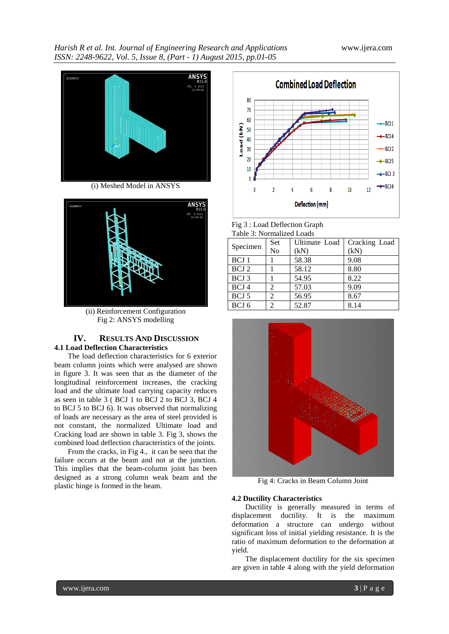

(i) Meshed Model in ANSYS



(ii) Reinforcement Configuration Fig 2: ANSYS modelling

## **IV. RESULTS AND DISCUSSION 4.1 Load Deflection Characteristics**

The load deflection characteristics for 6 exterior beam column joints which were analysed are shown in figure 3. It was seen that as the diameter of the longitudinal reinforcement increases, the cracking load and the ultimate load carrying capacity reduces as seen in table 3 ( BCJ 1 to BCJ 2 to BCJ 3, BCJ 4 to BCJ 5 to BCJ 6). It was observed that normalizing of loads are necessary as the area of steel provided is not constant, the normalized Ultimate load and Cracking load are shown in table 3. Fig 3, shows the combined load deflection characteristics of the joints.

From the cracks, in Fig 4., it can be seen that the failure occurs at the beam and not at the junction. This implies that the beam-column joint has been designed as a strong column weak beam and the plastic hinge is formed in the beam.



Fig 3 : Load Deflection Graph Table 3: Normalized Loads

| табіс э. тупінандся Loaus |                             |               |               |
|---------------------------|-----------------------------|---------------|---------------|
| Specimen                  | Set                         | Ultimate Load | Cracking Load |
|                           | No                          | (kN)          | (kN)          |
| BCJ 1                     |                             | 58.38         | 9.08          |
| BCJ 2                     |                             | 58.12         | 8.80          |
| BCJ 3                     |                             | 54.95         | 8.22          |
| BCJ <sub>4</sub>          | 2                           | 57.03         | 9.09          |
| BCJ 5                     | 2                           | 56.95         | 8.67          |
| BCJ 6                     | $\mathcal{D}_{\mathcal{L}}$ | 52.87         | 8.14          |
|                           |                             |               |               |



Fig 4: Cracks in Beam Column Joint

## **4.2 Ductility Characteristics**

Ductility is generally measured in terms of displacement ductility. It is the maximum deformation a structure can undergo without significant loss of initial yielding resistance. It is the ratio of maximum deformation to the deformation at yield.

The displacement ductility for the six specimen are given in table 4 along with the yield deformation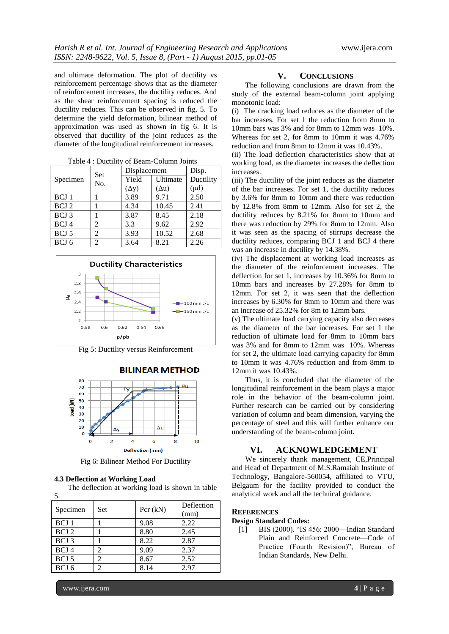and ultimate deformation. The plot of ductility vs reinforcement percentage shows that as the diameter of reinforcement increases, the ductility reduces. And as the shear reinforcement spacing is reduced the ductility reduces. This can be observed in fig. 5. To determine the yield deformation, bilinear method of approximation was used as shown in fig 6. It is observed that ductility of the joint reduces as the diameter of the longitudinal reinforcement increases.

| Set              |                | Displacement |              | Disp.     |
|------------------|----------------|--------------|--------------|-----------|
| Specimen         | No.            | Yield        | Ultimate     | Ductility |
|                  |                | $(\Delta y)$ | $(\Delta u)$ | $(\mu d)$ |
| BCJ <sub>1</sub> |                | 3.89         | 9.71         | 2.50      |
| BCJ 2            |                | 4.34         | 10.45        | 2.41      |
| BCJ 3            |                | 3.87         | 8.45         | 2.18      |
| BCJ 4            | 2              | 3.3          | 9.62         | 2.92      |
| BCJ 5            | 2              | 3.93         | 10.52        | 2.68      |
| BCJ <sub>6</sub> | $\overline{2}$ | 3.64         | 8.21         | 2.26      |

Table 4 : Ductility of Beam-Column Joints



Fig 5: Ductility versus Reinforcement



**BILINEAR METHOD** 

Fig 6: Bilinear Method For Ductility

### **4.3 Deflection at Working Load**

The deflection at working load is shown in table 5.

| Specimen         | Set | Pcr $(kN)$ | Deflection<br>(mm) |
|------------------|-----|------------|--------------------|
| BCJ 1            |     | 9.08       | 2.22               |
| BCJ 2            |     | 8.80       | 2.45               |
| BCJ 3            |     | 8.22       | 2.87               |
| BCJ <sub>4</sub> |     | 9.09       | 2.37               |
| BCJ 5            |     | 8.67       | 2.52               |
| BCJ 6            |     | 8.14       | 2.97               |

#### **V. CONCLUSIONS**

The following conclusions are drawn from the study of the external beam-column joint applying monotonic load:

(i) The cracking load reduces as the diameter of the bar increases. For set 1 the reduction from 8mm to 10mm bars was 3% and for 8mm to 12mm was 10%. Whereas for set 2, for 8mm to 10mm it was 4.76% reduction and from 8mm to 12mm it was 10.43%.

(ii) The load deflection characteristics show that at working load, as the diameter increases the deflection increases.

(iii) The ductility of the joint reduces as the diameter of the bar increases. For set 1, the ductility reduces by 3.6% for 8mm to 10mm and there was reduction by 12.8% from 8mm to 12mm. Also for set 2, the ductility reduces by 8.21% for 8mm to 10mm and there was reduction by 29% for 8mm to 12mm. Also it was seen as the spacing of stirrups decrease the ductility reduces, comparing BCJ 1 and BCJ 4 there was an increase in ductility by 14.38%.

(iv) The displacement at working load increases as the diameter of the reinforcement increases. The deflection for set 1, increases by 10.36% for 8mm to 10mm bars and increases by 27.28% for 8mm to 12mm. For set 2, it was seen that the deflection increases by 6.30% for 8mm to 10mm and there was an increase of 25.32% for 8m to 12mm bars.

(v) The ultimate load carrying capacity also decreases as the diameter of the bar increases. For set 1 the reduction of ultimate load for 8mm to 10mm bars was 3% and for 8mm to 12mm was 10%. Whereas for set 2, the ultimate load carrying capacity for 8mm to 10mm it was 4.76% reduction and from 8mm to 12mm it was 10.43%.

Thus, it is concluded that the diameter of the longitudinal reinforcement in the beam plays a major role in the behavior of the beam-column joint. Further research can be carried out by considering variation of column and beam dimension, varying the percentage of steel and this will further enhance our understanding of the beam-column joint.

## **VI. ACKNOWLEDGEMENT**

We sincerely thank management, CE,Principal and Head of Department of M.S.Ramaiah Institute of Technology, Bangalore-560054, affiliated to VTU, Belgaum for the facility provided to conduct the analytical work and all the technical guidance.

## **REFERENCES**

### **Design Standard Codes:**

[1] BIS (2000). "IS 456: 2000—Indian Standard Plain and Reinforced Concrete—Code of Practice (Fourth Revision)", Bureau of Indian Standards, New Delhi.

www.ijera.com **4** | P a g e